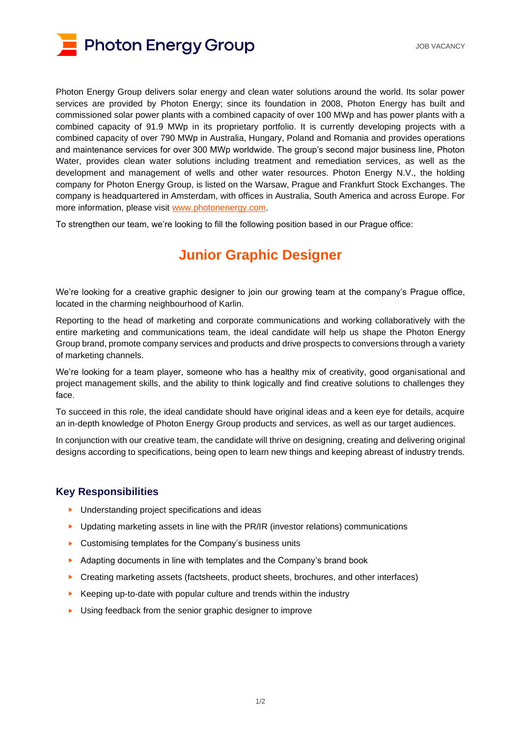

Photon Energy Group delivers solar energy and clean water solutions around the world. Its solar power services are provided by Photon Energy; since its foundation in 2008, Photon Energy has built and commissioned solar power plants with a combined capacity of over 100 MWp and has power plants with a combined capacity of 91.9 MWp in its proprietary portfolio. It is currently developing projects with a combined capacity of over 790 MWp in Australia, Hungary, Poland and Romania and provides operations and maintenance services for over 300 MWp worldwide. The group's second major business line, Photon Water, provides clean water solutions including treatment and remediation services, as well as the development and management of wells and other water resources. Photon Energy N.V., the holding company for Photon Energy Group, is listed on the Warsaw, Prague and Frankfurt Stock Exchanges. The company is headquartered in Amsterdam, with offices in Australia, South America and across Europe. For more information, please visit [www.photonenergy.com.](file://///pens/data/8400_Marketing_and_PR/8440%20Website/2020%20PE%20Group%20website/Careers/www.photonenergy.com)

To strengthen our team, we're looking to fill the following position based in our Prague office:

## **Junior Graphic Designer**

We're looking for a creative graphic designer to join our growing team at the company's Prague office, located in the charming neighbourhood of Karlin.

Reporting to the head of marketing and corporate communications and working collaboratively with the entire marketing and communications team, the ideal candidate will help us shape the Photon Energy Group brand, promote company services and products and drive prospects to conversions through a variety of marketing channels.

We're looking for a team player, someone who has a healthy mix of creativity, good organisational and project management skills, and the ability to think logically and find creative solutions to challenges they face.

To succeed in this role, the ideal candidate should have original ideas and a keen eye for details, acquire an in-depth knowledge of Photon Energy Group products and services, as well as our target audiences.

In conjunction with our creative team, the candidate will thrive on designing, creating and delivering original designs according to specifications, being open to learn new things and keeping abreast of industry trends.

## **Key Responsibilities**

- ► Understanding project specifications and ideas
- ► Updating marketing assets in line with the PR/IR (investor relations) communications
- ► Customising templates for the Company's business units
- ► Adapting documents in line with templates and the Company's brand book
- ► Creating marketing assets (factsheets, product sheets, brochures, and other interfaces)
- ► Keeping up-to-date with popular culture and trends within the industry
- ► Using feedback from the senior graphic designer to improve